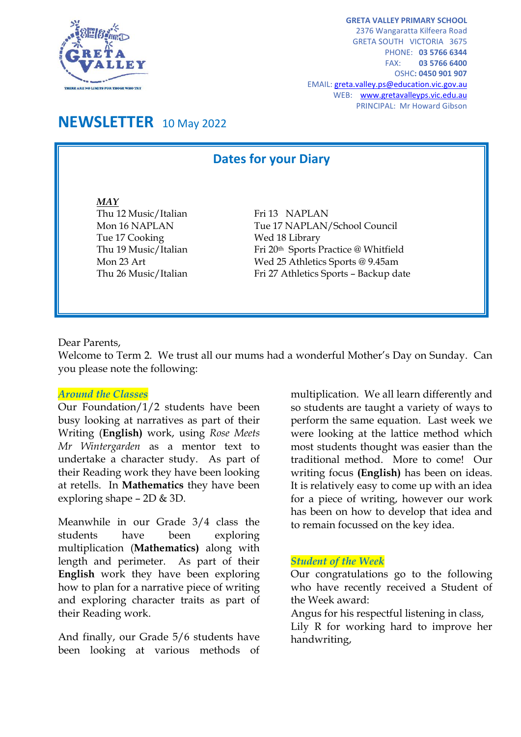

**GRETA VALLEY PRIMARY SCHOOL** 2376 Wangaratta Kilfeera Road GRETA SOUTH VICTORIA 3675 PHONE: **03 5766 6344** FAX: **03 5766 6400** OSHC**: 0450 901 907** EMAIL[: greta.valley.ps@education.vic.gov.au](mailto:greta.valley.ps@education.vic.gov.au) WEB: [www.gretavalleyps.vic.edu.au](http://www.gretavalleyps.vic.edu.au/) PRINCIPAL: Mr Howard Gibson

## **NEWSLETTER** 10 May 2022

L

### **Dates for your Diary**

*MAY* Thu 12 Music/Italian Fri 13 NAPLAN Tue 17 Cooking Wed 18 Library

Mon 16 NAPLAN Tue 17 NAPLAN/School Council Thu 19 Music/Italian Fri 20<sup>th</sup> Sports Practice @ Whitfield Mon 23 Art Wed 25 Athletics Sports @ 9.45am Thu 26 Music/Italian Fri 27 Athletics Sports – Backup date

Dear Parents,

Welcome to Term 2. We trust all our mums had a wonderful Mother's Day on Sunday. Can you please note the following:

#### *Around the Classes*

Our Foundation/1/2 students have been busy looking at narratives as part of their Writing (**English)** work, using *Rose Meets Mr Wintergarden* as a mentor text to undertake a character study. As part of their Reading work they have been looking at retells. In **Mathematics** they have been exploring shape – 2D & 3D.

Meanwhile in our Grade 3/4 class the students have been exploring multiplication (**Mathematics)** along with length and perimeter. As part of their **English** work they have been exploring how to plan for a narrative piece of writing and exploring character traits as part of their Reading work.

And finally, our Grade 5/6 students have been looking at various methods of multiplication. We all learn differently and so students are taught a variety of ways to perform the same equation. Last week we were looking at the lattice method which most students thought was easier than the traditional method. More to come! Our writing focus **(English)** has been on ideas. It is relatively easy to come up with an idea for a piece of writing, however our work has been on how to develop that idea and to remain focussed on the key idea.

#### *Student of the Week*

Our congratulations go to the following who have recently received a Student of the Week award:

Angus for his respectful listening in class, Lily R for working hard to improve her handwriting,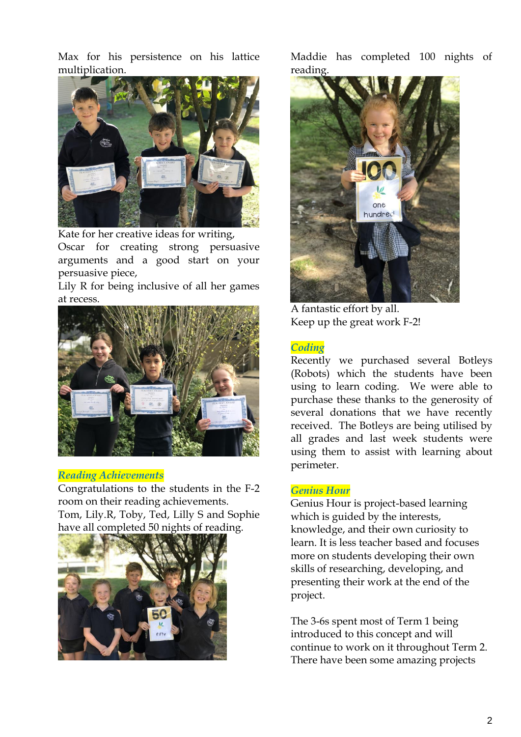Max for his persistence on his lattice multiplication.



Kate for her creative ideas for writing,

Oscar for creating strong persuasive arguments and a good start on your persuasive piece,

Lily R for being inclusive of all her games at recess.



#### *Reading Achievements*

Congratulations to the students in the F-2 room on their reading achievements. Tom, Lily.R, Toby, Ted, Lilly S and Sophie have all completed 50 nights of reading.



Maddie has completed 100 nights of reading.



A fantastic effort by all. Keep up the great work F-2!

#### *Coding*

Recently we purchased several Botleys (Robots) which the students have been using to learn coding. We were able to purchase these thanks to the generosity of several donations that we have recently received. The Botleys are being utilised by all grades and last week students were using them to assist with learning about perimeter.

#### *Genius Hour*

Genius Hour is project-based learning which is guided by the interests, knowledge, and their own curiosity to learn. It is less teacher based and focuses more on students developing their own skills of researching, developing, and presenting their work at the end of the project.

The 3-6s spent most of Term 1 being introduced to this concept and will continue to work on it throughout Term 2. There have been some amazing projects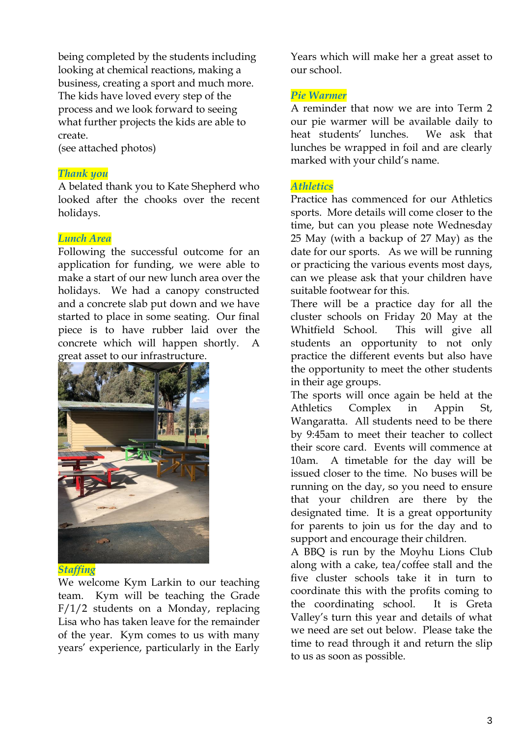being completed by the students including looking at chemical reactions, making a business, creating a sport and much more. The kids have loved every step of the process and we look forward to seeing what further projects the kids are able to create.

(see attached photos)

#### *Thank you*

A belated thank you to Kate Shepherd who looked after the chooks over the recent holidays.

#### *Lunch Area*

Following the successful outcome for an application for funding, we were able to make a start of our new lunch area over the holidays. We had a canopy constructed and a concrete slab put down and we have started to place in some seating. Our final piece is to have rubber laid over the concrete which will happen shortly. A great asset to our infrastructure.



#### *Staffing*

We welcome Kym Larkin to our teaching team. Kym will be teaching the Grade F/1/2 students on a Monday, replacing Lisa who has taken leave for the remainder of the year. Kym comes to us with many years' experience, particularly in the Early

Years which will make her a great asset to our school.

#### *Pie Warmer*

A reminder that now we are into Term 2 our pie warmer will be available daily to heat students' lunches. We ask that lunches be wrapped in foil and are clearly marked with your child's name.

#### *Athletics*

Practice has commenced for our Athletics sports. More details will come closer to the time, but can you please note Wednesday 25 May (with a backup of 27 May) as the date for our sports. As we will be running or practicing the various events most days, can we please ask that your children have suitable footwear for this.

There will be a practice day for all the cluster schools on Friday 20 May at the Whitfield School. This will give all students an opportunity to not only practice the different events but also have the opportunity to meet the other students in their age groups.

The sports will once again be held at the Athletics Complex in Appin St, Wangaratta. All students need to be there by 9:45am to meet their teacher to collect their score card. Events will commence at 10am. A timetable for the day will be issued closer to the time. No buses will be running on the day, so you need to ensure that your children are there by the designated time. It is a great opportunity for parents to join us for the day and to support and encourage their children.

A BBQ is run by the Moyhu Lions Club along with a cake, tea/coffee stall and the five cluster schools take it in turn to coordinate this with the profits coming to the coordinating school. It is Greta Valley's turn this year and details of what we need are set out below. Please take the time to read through it and return the slip to us as soon as possible.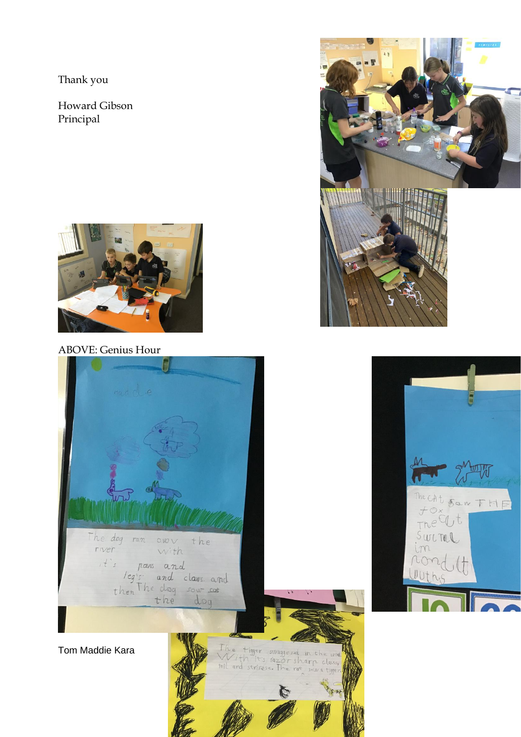Thank you

Howard Gibson Principal



ABOVE: Genius Hour